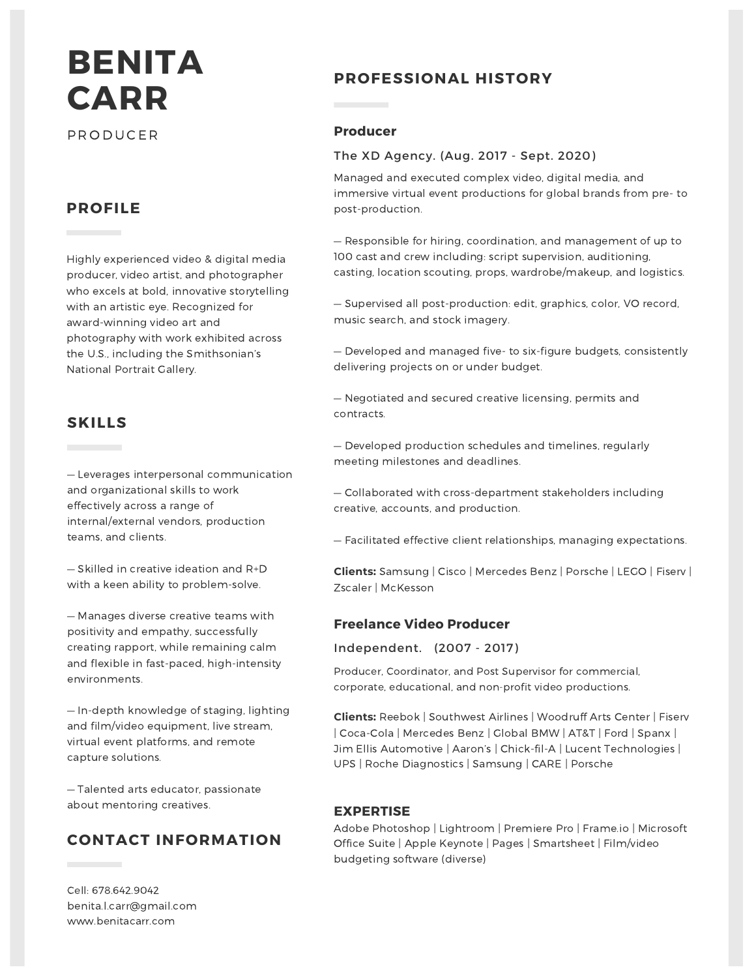# **BENITA CARR**

**P R O D U C E R** 

# **PROFILE**

Highly experienced video & digital media producer, video artist, and photographer who excels at bold, innovative storytelling with an artistic eye. Recognized for award-winning video art and photography with work exhibited across the U.S., including the Smithsonian's National Portrait Gallery.

### **SKILLS**

— Leverages interpersonal communication and organizational skills to work effectively across a range of internal/external vendors, production teams, and clients.

— Skilled in creative ideation and R+D with a keen ability to problem-solve.

— Manages diverse creative teams with positivity and empathy, successfully creating rapport, while remaining calm and flexible in fast-paced, high-intensity environments.

— In-depth knowledge of staging, lighting and film/video equipment, live stream, virtual event platforms, and remote capture solutions.

— Talented arts educator, passionate about mentoring creatives.

# **CONTACT INFORMATION**

Cell: 678.642.9042 benita.l.carr@gmail.com www.benitacarr.com

# **PROFESSIONAL HISTORY**

#### **Producer**

#### The XD Agency. (Aug. 2017 - Sept. 2020)

Managed and executed complex video, digital media, and immersive virtual event productions for global brands from pre- to post-production.

— Responsible for hiring, coordination, and management of up to 100 cast and crew including: script supervision, auditioning, casting, location scouting, props, wardrobe/makeup, and logistics.

— Supervised all post-production: edit, graphics, color, VO record, music search, and stock imagery.

— Developed and managed five- to six-figure budgets, consistently delivering projects on or under budget.

— Negotiated and secured creative licensing, permits and contracts.

— Developed production schedules and timelines, regularly meeting milestones and deadlines.

— Collaborated with cross-department stakeholders including creative, accounts, and production.

— Facilitated effective client relationships, managing expectations.

**Clients:** Samsung | Cisco | Mercedes Benz | Porsche | LEGO | Fiserv | Zscaler | McKesson

#### **Freelance Video Producer**

#### Independent. (2007 - 2017)

Producer, Coordinator, and Post Supervisor for commercial, corporate, educational, and non-profit video productions.

**Clients:** Reebok | Southwest Airlines | Woodruff Arts Center | Fiserv | Coca-Cola | Mercedes Benz | Global BMW | AT&T | Ford | Spanx | Jim Ellis Automotive | Aaron's | Chick-fil-A | Lucent Technologies | UPS | Roche Diagnostics | Samsung | CARE | Porsche

#### **EXPERTISE**

Adobe Photoshop | Lightroom | Premiere Pro | Frame.io | Microsoft Office Suite | Apple Keynote | Pages | Smartsheet | Film/video budgeting software (diverse)